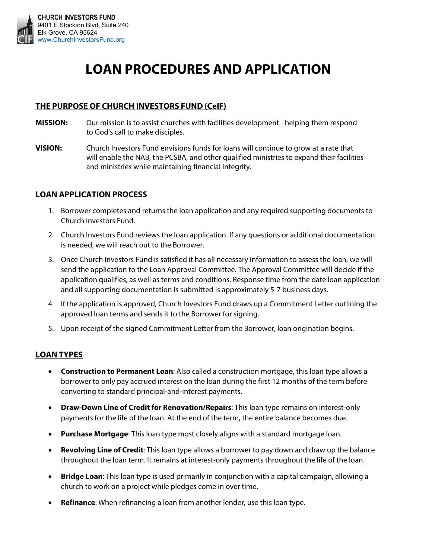

# **LOAN PROCEDURES AND APPLICATION**

# **THE PURPOSE OF CHURCH INVESTORS FUND (CeIF)**

- **MISSION:** Our mission is to assist churches with facilities development helping them respond to God's call to make disciples.
- **VISION:** Church Investors Fund envisions funds for loans will continue to grow at a rate that will enable the NAB, the PCSBA, and other qualified ministries to expand their facilities and ministries while maintaining financial integrity.

## **LOAN APPLICATION PROCESS**

- 1. Borrower completes and returns the loan application and any required supporting documents to Church Investors Fund.
- 2. Church Investors Fund reviews the loan application. If any questions or additional documentation is needed, we will reach out to the Borrower.
- 3. Once Church Investors Fund is satisfied it has all necessary information to assess the loan, we will send the application to the Loan Approval Committee. The Approval Committee will decide if the application qualifies, as well as terms and conditions. Response time from the date loan application and all supporting documentation is submitted is approximately 5-7 business days.
- 4. If the application is approved, Church Investors Fund draws up a Commitment Letter outlining the approved loan terms and sends it to the Borrower for signing.
- 5. Upon receipt of the signed Commitment Letter from the Borrower, loan origination begins.

## **LOAN TYPES**

- **Construction to Permanent Loan**: Also called a construction mortgage, this loan type allows a borrower to only pay accrued interest on the loan during the first 12 months of the term before converting to standard principal-and-interest payments.
- **Draw-Down Line of Credit for Renovation/Repairs:** This loan type remains on interest-only payments for the life of the loan. At the end of the term, the entire balance becomes due.
- **Purchase Mortgage**: This loan type most closely aligns with a standard mortgage loan.
- **Revolving Line of Credit**: This loan type allows a borrower to pay down and draw up the balance throughout the loan term. It remains at interest-only payments throughout the life of the loan.
- **Bridge Loan**: This loan type is used primarily in conjunction with a capital campaign, allowing a church to work on a project while pledges come in over time.
- **Refinance**: When refinancing a loan from another lender, use this loan type.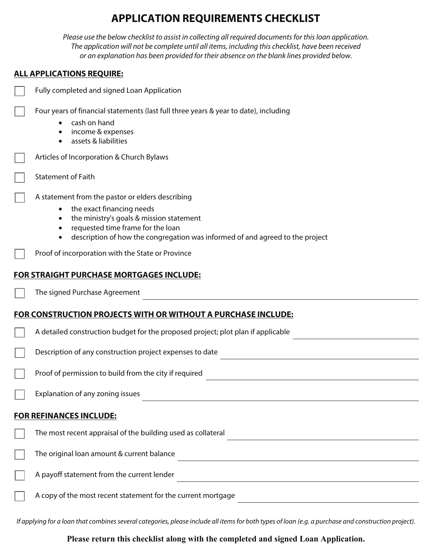# **APPLICATION REQUIREMENTS CHECKLIST**

Please use the below checklist to assist in collecting all required documents for this loan application. The application will not be complete until all items, including this checklist, have been received or an explanation has been provided for their absence on the blank lines provided below.

# **ALL APPLICATIONS REQUIRE:**

| Fully completed and signed Loan Application                                                                                                                                                                                                     |
|-------------------------------------------------------------------------------------------------------------------------------------------------------------------------------------------------------------------------------------------------|
| Four years of financial statements (last full three years & year to date), including<br>cash on hand<br>income & expenses<br>assets & liabilities                                                                                               |
| Articles of Incorporation & Church Bylaws                                                                                                                                                                                                       |
| <b>Statement of Faith</b>                                                                                                                                                                                                                       |
| A statement from the pastor or elders describing<br>the exact financing needs<br>the ministry's goals & mission statement<br>requested time frame for the loan<br>description of how the congregation was informed of and agreed to the project |
| Proof of incorporation with the State or Province                                                                                                                                                                                               |
| <b>FOR STRAIGHT PURCHASE MORTGAGES INCLUDE:</b>                                                                                                                                                                                                 |
| The signed Purchase Agreement                                                                                                                                                                                                                   |
| <b>FOR CONSTRUCTION PROJECTS WITH OR WITHOUT A PURCHASE INCLUDE:</b>                                                                                                                                                                            |
| A detailed construction budget for the proposed project; plot plan if applicable                                                                                                                                                                |
| Description of any construction project expenses to date                                                                                                                                                                                        |
| Proof of permission to build from the city if required                                                                                                                                                                                          |
| Explanation of any zoning issues                                                                                                                                                                                                                |
| <b>FOR REFINANCES INCLUDE:</b>                                                                                                                                                                                                                  |
| The most recent appraisal of the building used as collateral                                                                                                                                                                                    |
| The original loan amount & current balance                                                                                                                                                                                                      |
| A payoff statement from the current lender<br><u> 1989 - Johann Stein, mars an deus Amerikaansk kommunister (* 1950)</u>                                                                                                                        |
|                                                                                                                                                                                                                                                 |

If applying for a loan that combines several categories, please include all items for both types of loan (e.g. a purchase and construction project).

**Please return this checklist along with the completed and signed Loan Application.**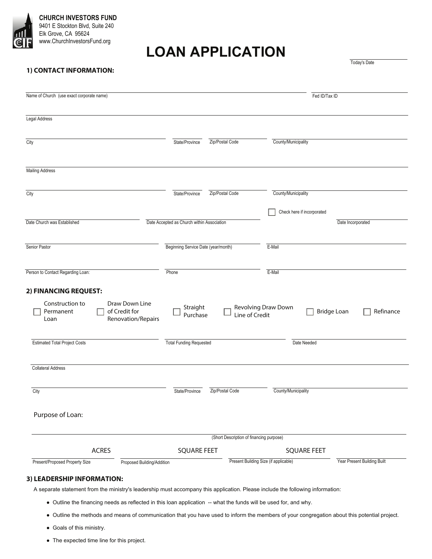

**CHURCH INVESTORS FUND**  9401 E Stockton Blvd, Suite 240 Elk Grove, CA 95624 www.ChurchInvestorsFund.org

# **LOAN APPLICATION**

Today's Date

### **1) CONTACT INFORMATION:**

| Name of Church (use exact corporate name)                                                                              |                                            |                                          | Fed ID/Tax ID              |                                 |
|------------------------------------------------------------------------------------------------------------------------|--------------------------------------------|------------------------------------------|----------------------------|---------------------------------|
| Legal Address                                                                                                          |                                            |                                          |                            |                                 |
|                                                                                                                        |                                            |                                          |                            |                                 |
| City                                                                                                                   | State/Province                             | Zip/Postal Code                          | County/Municipality        |                                 |
| <b>Mailing Address</b>                                                                                                 |                                            |                                          |                            |                                 |
|                                                                                                                        |                                            |                                          |                            |                                 |
| City                                                                                                                   | State/Province                             | Zip/Postal Code                          | County/Municipality        |                                 |
|                                                                                                                        |                                            |                                          | Check here if incorporated |                                 |
| Date Church was Established                                                                                            | Date Accepted as Church within Association |                                          |                            | Date Incorporated               |
| Senior Pastor                                                                                                          | Beginning Service Date (year/month)        |                                          | E-Mail                     |                                 |
| Person to Contact Regarding Loan:                                                                                      | Phone                                      |                                          | E-Mail                     |                                 |
| 2) FINANCING REQUEST:<br>Construction to<br>Draw Down Line<br>of Credit for<br>Permanent<br>Renovation/Repairs<br>Loan | Straight<br>Purchase                       | Line of Credit                           | Revolving Draw Down        | <b>Bridge Loan</b><br>Refinance |
| <b>Estimated Total Project Costs</b>                                                                                   | <b>Total Funding Requested</b>             |                                          | Date Needed                |                                 |
| <b>Collateral Address</b>                                                                                              |                                            |                                          |                            |                                 |
| City                                                                                                                   | State/Province                             | Zip/Postal Code                          | County/Municipality        |                                 |
| Purpose of Loan:                                                                                                       |                                            |                                          |                            |                                 |
|                                                                                                                        |                                            | (Short Description of financing purpose) |                            |                                 |
|                                                                                                                        |                                            |                                          |                            |                                 |
| <b>ACRES</b>                                                                                                           | <b>SQUARE FEET</b>                         |                                          | <b>SQUARE FEET</b>         |                                 |

- A separate statement from the ministry's leadership must accompany this application. Please include the following information:
	- Ɣ Outline the financing needs as reflected in this loan application -- what the funds will be used for, and why.
	- Ɣ Outline the methods and means of communication that you have used to inform the members of your congregation about this potential project.
	- Ɣ Goals of this ministry.
	- The expected time line for this project.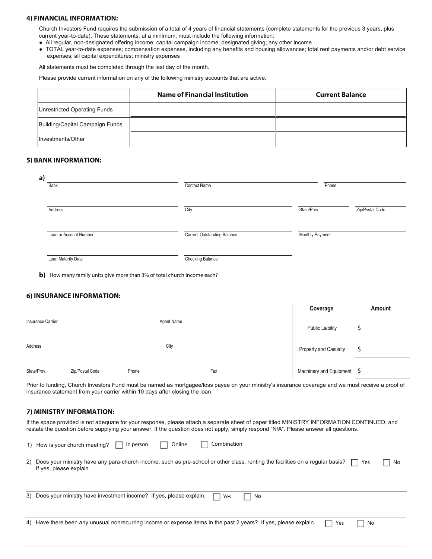#### **4) FINANCIAL INFORMATION:**

Church Investors Fund requires the submission of a total of 4 years of financial statements (complete statements for the previous 3 years, plus current year-to-date). These statements, at a minimum, must include the following information:

- Ɣ All regular, non-designated offering income; capital campaign income; designated giving; any other income
- Ɣ TOTAL year-to-date expenses; compensation expenses, including any benefits and housing allowances; total rent payments and/or debt service expenses; all capital expenditures; ministry expenses

All statements must be completed through the last day of the month.

Please provide current information on any of the following ministry accounts that are active.

|                                 | <b>Name of Financial Institution</b> | <b>Current Balance</b> |
|---------------------------------|--------------------------------------|------------------------|
| Unrestricted Operating Funds    |                                      |                        |
| Building/Capital Campaign Funds |                                      |                        |
| Investments/Other               |                                      |                        |

#### **5) BANK INFORMATION:**

| a)      | Bank                                                                    | <b>Contact Name</b>                | Phone                   |                 |
|---------|-------------------------------------------------------------------------|------------------------------------|-------------------------|-----------------|
|         | Address                                                                 | City                               | State/Prov.             | Zip/Postal Code |
|         | Loan or Account Number                                                  | <b>Current Outstanding Balance</b> | Monthly Payment         |                 |
|         | Loan Maturity Date                                                      | Checking Balance                   |                         |                 |
|         |                                                                         |                                    |                         |                 |
|         | b) How many family units give more than 3% of total church income each? |                                    |                         |                 |
|         | 6) INSURANCE INFORMATION:                                               |                                    | Coverage                | Amount          |
|         | <b>Insurance Carrier</b>                                                | Agent Name                         | <b>Public Liability</b> | \$              |
| Address |                                                                         | City                               | Property and Casualty   | \$              |

Prior to funding, Church Investors Fund must be named as mortgagee/loss payee on your ministry's insurance coverage and we must receive a proof of insurance statement from your carrier within 10 days after closing the loan.

#### **7) MINISTRY INFORMATION:**

If the space provided is not adequate for your response, please attach a separate sheet of paper titled MINISTRY INFORMATION CONTINUED, and restate the question before supplying your answer. If the question does not apply, simply respond "N/A". Please answer all questions.

| 1) How is your church meeting? | $\vert$ In person | $\overline{\phantom{a}}$ Online | $\Box$ Combination |
|--------------------------------|-------------------|---------------------------------|--------------------|
|--------------------------------|-------------------|---------------------------------|--------------------|

2) Does your ministry have any para-church income, such as pre-school or other class, renting the facilities on a regular basis? If yes, please explain.  $\sqsupset$  Yes  $\qquad \sqcap$  No

| 3) Does your ministry have investment income? If yes, please explain.                                            | l Yes | - No |     |    |  |
|------------------------------------------------------------------------------------------------------------------|-------|------|-----|----|--|
|                                                                                                                  |       |      |     |    |  |
| 4) Have there been any unusual nonrecurring income or expense items in the past 2 years? If yes, please explain. |       |      | Yes | No |  |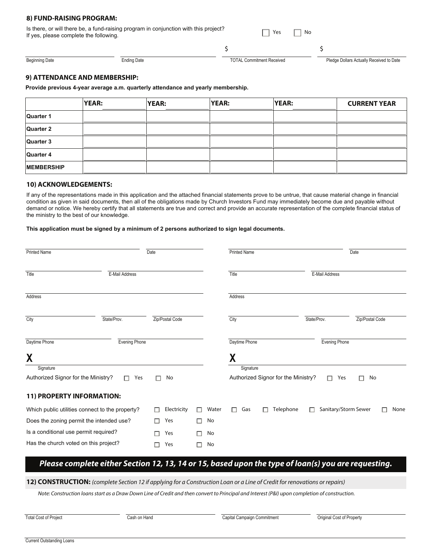#### **8) FUND-RAISING PROGRAM:**

| Is there, or will there be, a fund-raising program in conjunction with this project?<br>If yes, please complete the following. | $\Box$ Yes $\Box$ No |  |
|--------------------------------------------------------------------------------------------------------------------------------|----------------------|--|
|                                                                                                                                |                      |  |

Beginning Date Ending Date Ending Date Ending Date TOTAL Commitment Received Pledge Dollars Actually Received to Date

#### **9) ATTENDANCE AND MEMBERSHIP:**

**Provide previous 4-year average a.m. quarterly attendance and yearly membership.**

|                   | YEAR: | <b>YEAR:</b> | <b>YEAR:</b> | <b>YEAR:</b> | <b>CURRENT YEAR</b> |
|-------------------|-------|--------------|--------------|--------------|---------------------|
| Quarter 1         |       |              |              |              |                     |
| Quarter 2         |       |              |              |              |                     |
| Quarter 3         |       |              |              |              |                     |
| Quarter 4         |       |              |              |              |                     |
| <b>MEMBERSHIP</b> |       |              |              |              |                     |

#### **10) ACKNOWLEDGEMENTS:**

If any of the representations made in this application and the attached financial statements prove to be untrue, that cause material change in financial condition as given in said documents, then all of the obligations made by Church Investors Fund may immediately become due and payable without demand or notice. We hereby certify that all statements are true and correct and provide an accurate representation of the complete financial status of the ministry to the best of our knowledge.

#### **This application must be signed by a minimum of 2 persons authorized to sign legal documents.**

| <b>Printed Name</b>                   |                                                 | Date            |         | <b>Printed Name</b> |                                     |                |                      | Date            |      |
|---------------------------------------|-------------------------------------------------|-----------------|---------|---------------------|-------------------------------------|----------------|----------------------|-----------------|------|
| Title                                 | E-Mail Address                                  |                 |         | Title               |                                     | E-Mail Address |                      |                 |      |
| Address                               |                                                 |                 |         | Address             |                                     |                |                      |                 |      |
| City                                  | State/Prov.                                     | Zip/Postal Code |         | City                |                                     | State/Prov.    |                      | Zip/Postal Code |      |
| Daytime Phone                         | Evening Phone                                   |                 |         | Daytime Phone       |                                     |                | Evening Phone        |                 |      |
| X<br>Signature                        |                                                 |                 |         | χ<br>Signature      |                                     |                |                      |                 |      |
| Authorized Signor for the Ministry?   | П<br>Yes                                        | No              |         |                     | Authorized Signor for the Ministry? |                | $\Box$<br>Yes        | No              |      |
| 11) PROPERTY INFORMATION:             |                                                 |                 |         |                     |                                     |                |                      |                 |      |
|                                       | Which public utilities connect to the property? | Electricity     | Water   | Gas<br>П            | Telephone<br>$\mathbf{I}$           | П              | Sanitary/Storm Sewer |                 | None |
|                                       | Does the zoning permit the intended use?        | Yes             | No<br>H |                     |                                     |                |                      |                 |      |
| Is a conditional use permit required? |                                                 | Yes             | No      |                     |                                     |                |                      |                 |      |
| Has the church voted on this project? |                                                 | Yes             | No<br>٠ |                     |                                     |                |                      |                 |      |

# **Please complete either Section 12, 13, 14 or 15, based upon the type of loan(s) you are requesting.**

**12) CONSTRUCTION:** (complete Section 12 if applying for a Construction Loan or a Line of Credit for renovations or repairs)

Note: Construction loans start as a Draw Down Line of Credit and then convert to Principal and Interest (P&I) upon completion of construction.